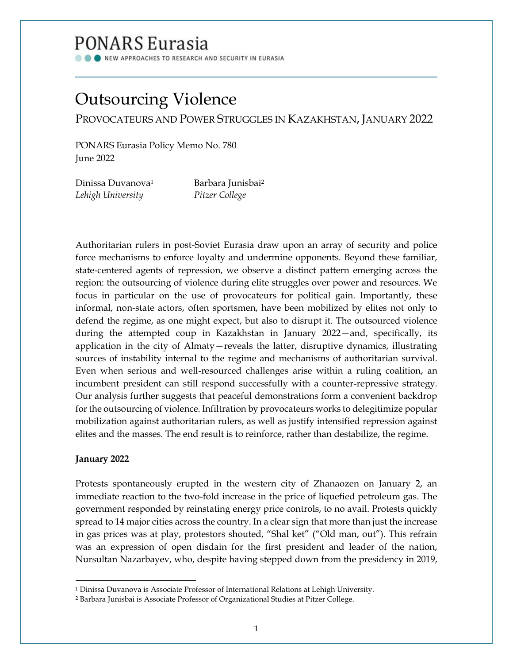## PONARS Eurasia

NEW APPROACHES TO RESEARCH AND SECURITY IN EURASIA

# Outsourcing Violence

PROVOCATEURS AND POWER STRUGGLES IN KAZAKHSTAN, JANUARY 2022

PONARS Eurasia Policy Memo No. 780 June 2022

| Dinissa Duvanova <sup>1</sup> | Barbara Junisbai <sup>2</sup> |
|-------------------------------|-------------------------------|
| Lehigh University             | Pitzer College                |

Authoritarian rulers in post-Soviet Eurasia draw upon an array of security and police force mechanisms to enforce loyalty and undermine opponents. Beyond these familiar, state-centered agents of repression, we observe a distinct pattern emerging across the region: the outsourcing of violence during elite struggles over power and resources. We focus in particular on the use of provocateurs for political gain. Importantly, these informal, non-state actors, often sportsmen, have been mobilized by elites not only to defend the regime, as one might expect, but also to disrupt it. The outsourced violence during the attempted coup in Kazakhstan in January 2022—and, specifically, its application in the city of Almaty—reveals the latter, disruptive dynamics, illustrating sources of instability internal to the regime and mechanisms of authoritarian survival. Even when serious and well-resourced challenges arise within a ruling coalition, an incumbent president can still respond successfully with a counter-repressive strategy. Our analysis further suggests that peaceful demonstrations form a convenient backdrop for the outsourcing of violence. Infiltration by provocateurs works to delegitimize popular mobilization against authoritarian rulers, as well as justify intensified repression against elites and the masses. The end result is to reinforce, rather than destabilize, the regime.

## **January 2022**

Protests spontaneously erupted in the western city of Zhanaozen on January 2, an immediate reaction to the two-fold increase in the price of liquefied petroleum gas. The government responded by reinstating energy price controls, to no avail. Protests quickly spread to 14 major cities across the country. In a clear sign that more than just the increase in gas prices was at play, protestors shouted, "Shal ket" ("Old man, out"). This refrain was an expression of open disdain for the first president and leader of the nation, Nursultan Nazarbayev, who, despite having stepped down from the presidency in 2019,

<sup>1</sup> Dinissa Duvanova is Associate Professor of International Relations at Lehigh University.

<sup>2</sup> Barbara Junisbai is Associate Professor of Organizational Studies at Pitzer College.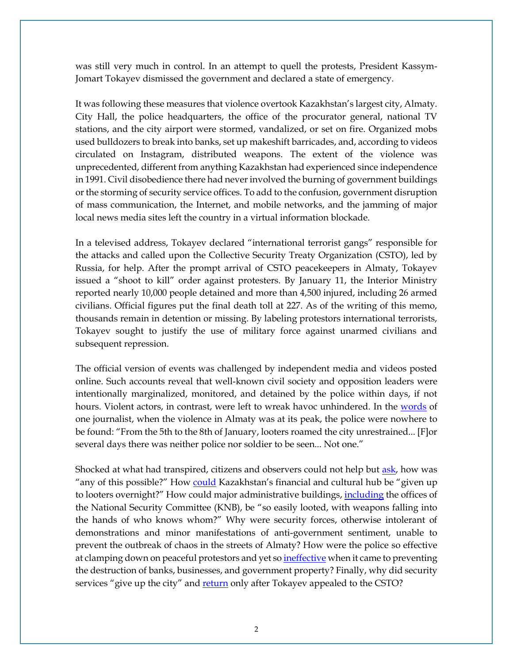was still very much in control. In an attempt to quell the protests, President Kassym-Jomart Tokayev dismissed the government and declared a state of emergency.

It was following these measures that violence overtook Kazakhstan's largest city, Almaty. City Hall, the police headquarters, the office of the procurator general, national TV stations, and the city airport were stormed, vandalized, or set on fire. Organized mobs used bulldozers to break into banks, set up makeshift barricades, and, according to videos circulated on Instagram, distributed weapons. The extent of the violence was unprecedented, different from anything Kazakhstan had experienced since independence in 1991. Civil disobedience there had never involved the burning of government buildings or the storming of security service offices. To add to the confusion, government disruption of mass communication, the Internet, and mobile networks, and the jamming of major local news media sites left the country in a virtual information blockade.

In a televised address, Tokayev declared "international terrorist gangs" responsible for the attacks and called upon the Collective Security Treaty Organization (CSTO), led by Russia, for help. After the prompt arrival of CSTO peacekeepers in Almaty, Tokayev issued a "shoot to kill" order against protesters. By January 11, the Interior Ministry reported nearly 10,000 people detained and more than 4,500 injured, including 26 armed civilians. Official figures put the final death toll at 227. As of the writing of this memo, thousands remain in detention or missing. By labeling protestors international terrorists, Tokayev sought to justify the use of military force against unarmed civilians and subsequent repression.

The official version of events was challenged by independent media and videos posted online. Such accounts reveal that well-known civil society and opposition leaders were intentionally marginalized, monitored, and detained by the police within days, if not hours. Violent actors, in contrast, were left to wreak havoc unhindered. In the [words](https://fergana.media/photos/124624/?country=kz) of one journalist, when the violence in Almaty was at its peak, the police were nowhere to be found: "From the 5th to the 8th of January, looters roamed the city unrestrained... [F]or several days there was neither police nor soldier to be seen... Not one."

Shocked at what had transpired, citizens and observers could not help but [ask,](https://www.youtube.com/watch?v=ForWxv5UWfQ&t=814s) how was "any of this possible?" How [could](https://rus.azattyq.org/a/byl-zagovor-protiv-tokaeva-v-tom-chisle-so-storony-silovikov-eks-premer-kazahstana-obyasnyaet-zachem-prezident-pozval-v-stranu-sily-odkb/31644035.html) Kazakhstan's financial and cultural hub be "given up to looters overnight?" How could major administrative buildings, *[including](https://www.youtube.com/watch?v=gPIS698WXXk)* the offices of the National Security Committee (KNB), be "so easily looted, with weapons falling into the hands of who knows whom?" Why were security forces, otherwise intolerant of demonstrations and minor manifestations of anti-government sentiment, unable to prevent the outbreak of chaos in the streets of Almaty? How were the police so effective at clamping down on peaceful protestors and yet s[o ineffective](https://fergana.media/articles/124699/?country=kz) when it came to preventing the destruction of banks, businesses, and government property? Finally, why did security services "give up the city" an[d return](https://fergana.media/articles/124552/?country=kz) only after Tokayev appealed to the CSTO?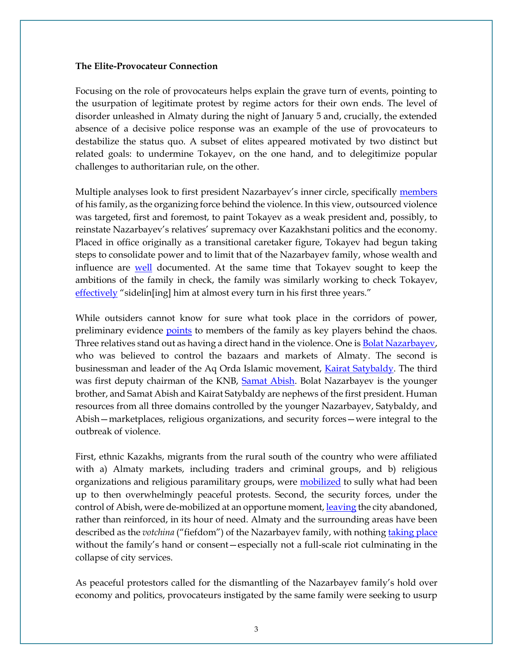#### **The Elite-Provocateur Connection**

Focusing on the role of provocateurs helps explain the grave turn of events, pointing to the usurpation of legitimate protest by regime actors for their own ends. The level of disorder unleashed in Almaty during the night of January 5 and, crucially, the extended absence of a decisive police response was an example of the use of provocateurs to destabilize the status quo. A subset of elites appeared motivated by two distinct but related goals: to undermine Tokayev, on the one hand, and to delegitimize popular challenges to authoritarian rule, on the other.

Multiple analyses look to first president Nazarbayev's inner circle, specifically [members](https://carnegiemoscow.org/commentary/86224) of his family, as the organizing force behind the violence. In this view, outsourced violence was targeted, first and foremost, to paint Tokayev as a weak president and, possibly, to reinstate Nazarbayev's relatives' supremacy over Kazakhstani politics and the economy. Placed in office originally as a transitional caretaker figure, Tokayev had begun taking steps to consolidate power and to limit that of the Nazarbayev family, whose wealth and influence are [well](https://www.rferl.org/a/kazakh-nazarbaev-palaces/31673882.html) documented. At the same time that Tokayev sought to keep the ambitions of the family in check, the family was similarly working to check Tokayev[,](https://www.youtube.com/watch?v=gPIS698WXXk) [effectively](https://www.youtube.com/watch?v=gPIS698WXXk) "sidelin[ing] him at almost every turn in his first three years."

While outsiders cannot know for sure what took place in the corridors of power, preliminary evidence **points** to members of the family as key players behind the chaos. Three relatives stand out as having a direct hand in the violence. One is **Bolat Nazarbayev**, who was believed to control the bazaars and markets of Almaty. The second is businessman and leader of the Aq Orda Islamic movement, [Kairat Satybaldy.](https://rus.azattyq.org/a/kazakhstan-who-is-bolat-nazarbayev/31522324.html) The third was first deputy chairman of the KNB, [Samat Abish.](https://kaktus.media/doc/453002_feliks_kylov_o_zaiavlenii_nazarbaeva:_vystyplenie_bylo_dejyrnym_dlia_kompromissa.html) Bolat Nazarbayev is the younger brother, and Samat Abish and Kairat Satybaldy are nephews of the first president. Human resources from all three domains controlled by the younger Nazarbayev, Satybaldy, and Abish—marketplaces, religious organizations, and security forces—were integral to the outbreak of violence.

First, ethnic Kazakhs, migrants from the rural south of the country who were affiliated with a) Almaty markets, including traders and criminal groups, and b) religious organizations and religious paramilitary groups, were [mobilized](https://www.youtube.com/watch?v=gPIS698WXXk) to sully what had been up to then overwhelmingly peaceful protests. Second, the security forces, under the control of Abish, were de-mobilized at an opportune moment[, leaving](https://rus.azattyq.org/a/kak-raspravilis-s-protestuyuschimi-v-almaty/31646318.html) the city abandoned, rather than reinforced, in its hour of need. Almaty and the surrounding areas have been described as the *votchina* ("fiefdom") of the Nazarbayev family, with nothing [taking place](https://fergana.media/articles/124571/) without the family's hand or consent—especially not a full-scale riot culminating in the collapse of city services.

As peaceful protestors called for the dismantling of the Nazarbayev family's hold over economy and politics, provocateurs instigated by the same family were seeking to usurp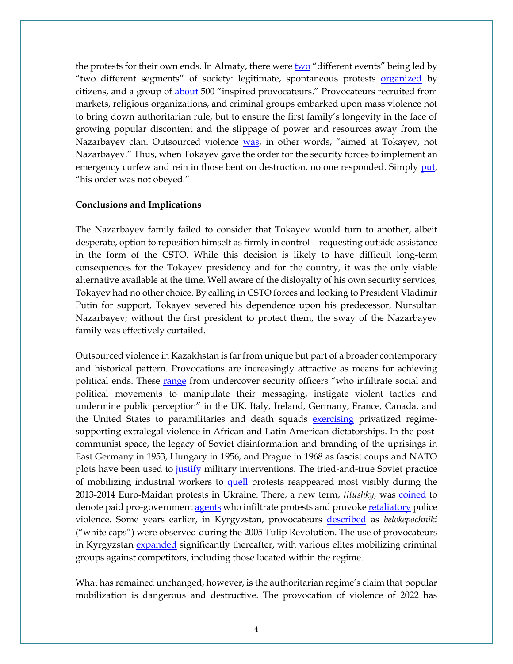the protests for their own ends. In Almaty, there wer[e two](https://www.youtube.com/watch?v=gPIS698WXXk) "different events" being led by "two different segments" of society: legitimate, spontaneous protests **[organized](https://www.youtube.com/watch?v=gPIS698WXXk)** by citizens, and a group of [about](https://www.youtube.com/watch?v=gPIS698WXXk) 500 "inspired provocateurs." Provocateurs recruited from markets, religious organizations, and criminal groups embarked upon mass violence not to bring down authoritarian rule, but to ensure the first family's longevity in the face of growing popular discontent and the slippage of power and resources away from the Nazarbayev clan. Outsourced violence [was](https://www.youtube.com/watch?v=gPIS698WXXk), in other words, "aimed at Tokayev, not Nazarbayev." Thus, when Tokayev gave the order for the security forces to implement an emergency curfew and rein in those bent on destruction, no one responded. Simply [put,](https://www.youtube.com/watch?v=gPIS698WXXk) "his order was not obeyed."

### **Conclusions and Implications**

The Nazarbayev family failed to consider that Tokayev would turn to another, albeit desperate, option to reposition himself as firmly in control—requesting outside assistance in the form of the CSTO. While this decision is likely to have difficult long-term consequences for the Tokayev presidency and for the country, it was the only viable alternative available at the time. Well aware of the disloyalty of his own security services, Tokayev had no other choice. By calling in CSTO forces and looking to President Vladimir Putin for support, Tokayev severed his dependence upon his predecessor, Nursultan Nazarbayev; without the first president to protect them, the sway of the Nazarbayev family was effectively curtailed.

Outsourced violence in Kazakhstan is far from unique but part of a broader contemporary and historical pattern. Provocations are increasingly attractive as means for achieving political ends. These [range](https://doi.org/10.1177/09240519211033429) from undercover security officers "who infiltrate social and political movements to manipulate their messaging, instigate violent tactics and undermine public perception" in the UK, Italy, Ireland, Germany, France, Canada, and the United States to paramilitaries and death squads [exercising](https://press.princeton.edu/books/hardcover/9780691211411/spin-dictators) privatized regimesupporting extralegal violence in African and Latin American dictatorships. In the postcommunist space, the legacy of Soviet disinformation and branding of the uprisings in East Germany in 1953, Hungary in 1956, and Prague in 1968 as fascist coups and NATO plots have been used to [justify](https://doi.org/10.1080/16161262.2021.1918940) military interventions. The tried-and-true Soviet practice of mobilizing industrial workers to [quell](https://www.cambridge.org/core/books/protest-reform-and-repression-in-khrushchevs-soviet-union/FCABCBE30C42D788CC1D269D85285D7E) protests reappeared most visibly during the 2013-2014 Euro-Maidan protests in Ukraine. There, a new term, *titushky,* was [coined](https://www.pravda.com.ua/rus/news/2018/08/27/7190341/) to denote paid pro-governmen[t agents](https://www.bbc.com/news/world-europe-26252679) who infiltrate protests and provoke [retaliatory](https://www.opendemocracy.net/en/odr/provoking-euromaidan/https:/www.opendemocracy.net/en/odr/provoking-euromaidan/) police violence. Some years earlier, in Kyrgyzstan, provocateurs [described](https://ebooks.iospress.nl/volumearticle/24621) as *belokepochniki*  ("white caps") were observed during the 2005 Tulip Revolution. The use of provocateurs in Kyrgyzstan [expanded](https://www.usip.org/publications/2021/06/understanding-organized-crime-and-violence-central-asia) significantly thereafter, with various elites mobilizing criminal groups against competitors, including those located within the regime.

What has remained unchanged, however, is the authoritarian regime's claim that popular mobilization is dangerous and destructive. The provocation of violence of 2022 has